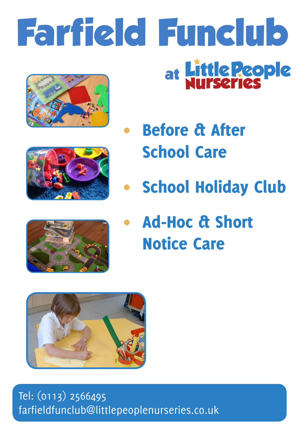# **Farfield Funclub** at Little **Reople**









Ad-Hoc & Short Notice Care



Tel: (0113) 2566495 farfieldfunclub@littlepeoplenurseries.co.uk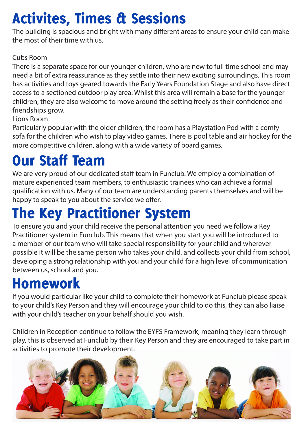# Activites, Times & Sessions

The building is spacious and bright with many different areas to ensure your child can make the most of their time with us.

#### Cubs Room

There is a separate space for our younger children, who are new to full time school and may need a bit of extra reassurance as they settle into their new exciting surroundings. This room has activities and toys geared towards the Early Years Foundation Stage and also have direct access to a sectioned outdoor play area. Whilst this area will remain a base for the younger children, they are also welcome to move around the setting freely as their confidence and friendships grow.

#### Lions Room

Particularly popular with the older children, the room has a Playstation Pod with a comfy sofa for the children who wish to play video games. There is pool table and air hockey for the more competitive children, along with a wide variety of board games.

### Our Staff Team

We are very proud of our dedicated staff team in Funclub. We employ a combination of mature experienced team members, to enthusiastic trainees who can achieve a formal qualification with us. Many of our team are understanding parents themselves and will be happy to speak to you about the service we offer.

#### The Key Practitioner System

To ensure you and your child receive the personal attention you need we follow a Key Practitioner system in Funclub. This means that when you start you will be introduced to a member of our team who will take special responsibility for your child and wherever possible it will be the same person who takes your child, and collects your child from school, developing a strong relationship with you and your child for a high level of communication between us, school and you.

### Homework

If you would particular like your child to complete their homework at Funclub please speak to your child's Key Person and they will encourage your child to do this, they can also liaise with your child's teacher on your behalf should you wish.

Children in Reception continue to follow the EYFS Framework, meaning they learn through play, this is observed at Funclub by their Key Person and they are encouraged to take part in activities to promote their development.

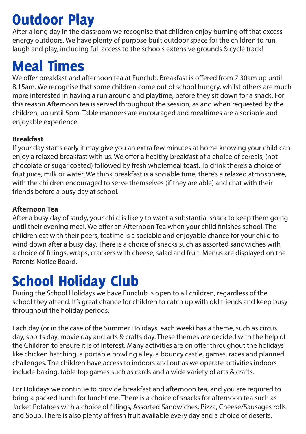# Outdoor Play

After a long day in the classroom we recognise that children enjoy burning off that excess energy outdoors. We have plenty of purpose built outdoor space for the children to run, laugh and play, including full access to the schools extensive grounds & cycle track!

### Meal Times

We offer breakfast and afternoon tea at Funclub. Breakfast is offered from 7.30am up until 8.15am. We recognise that some children come out of school hungry, whilst others are much more interested in having a run around and playtime, before they sit down for a snack. For this reason Afternoon tea is served throughout the session, as and when requested by the children, up until 5pm. Table manners are encouraged and mealtimes are a sociable and enjoyable experience.

#### **Breakfast**

If your day starts early it may give you an extra few minutes at home knowing your child can enjoy a relaxed breakfast with us. We offer a healthy breakfast of a choice of cereals, (not chocolate or sugar coated) followed by fresh wholemeal toast. To drink there's a choice of fruit juice, milk or water. We think breakfast is a sociable time, there's a relaxed atmosphere, with the children encouraged to serve themselves (if they are able) and chat with their friends before a busy day at school.

#### **Afternoon Tea**

After a busy day of study, your child is likely to want a substantial snack to keep them going until their evening meal. We offer an Afternoon Tea when your child finishes school. The children eat with their peers, teatime is a sociable and enjoyable chance for your child to wind down after a busy day. There is a choice of snacks such as assorted sandwiches with a choice of fillings, wraps, crackers with cheese, salad and fruit. Menus are displayed on the Parents Notice Board.

## School Holiday Club

During the School Holidays we have Funclub is open to all children, regardless of the school they attend. It's great chance for children to catch up with old friends and keep busy throughout the holiday periods.

Each day (or in the case of the Summer Holidays, each week) has a theme, such as circus day, sports day, movie day and arts & crafts day. These themes are decided with the help of the Children to ensure it is of interest. Many activities are on offer throughout the holidays like chicken hatching, a portable bowling alley, a bouncy castle, games, races and planned challenges. The children have access to indoors and out as we operate activities indoors include baking, table top games such as cards and a wide variety of arts & crafts.

For Holidays we continue to provide breakfast and afternoon tea, and you are required to bring a packed lunch for lunchtime. There is a choice of snacks for afternoon tea such as Jacket Potatoes with a choice of fillings, Assorted Sandwiches, Pizza, Cheese/Sausages rolls and Soup. There is also plenty of fresh fruit available every day and a choice of deserts.